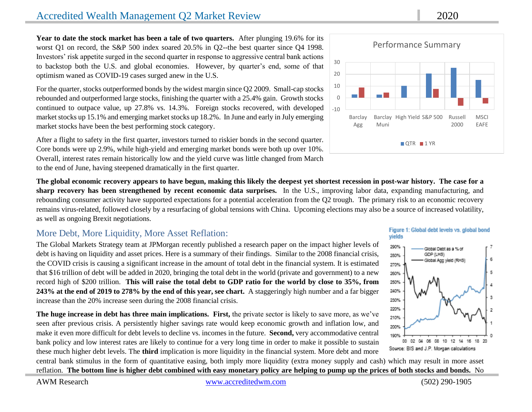**Year to date the stock market has been a tale of two quarters.** After plunging 19.6% for its worst Q1 on record, the S&P 500 index soared 20.5% in Q2--the best quarter since Q4 1998. Investors' risk appetite surged in the second quarter in response to aggressive central bank actions to backstop both the U.S. and global economies. However, by quarter's end, some of that optimism waned as COVID-19 cases surged anew in the U.S.

For the quarter, stocks outperformed bonds by the widest margin since Q2 2009. Small-cap stocks rebounded and outperformed large stocks, finishing the quarter with a 25.4% gain. Growth stocks continued to outpace value, up 27.8% vs. 14.3%. Foreign stocks recovered, with developed market stocks up 15.1% and emerging market stocks up 18.2%. In June and early in July emerging market stocks have been the best performing stock category.

After a flight to safety in the first quarter, investors turned to riskier bonds in the second quarter. Core bonds were up 2.9%, while high-yield and emerging market bonds were both up over 10%. Overall, interest rates remain historically low and the yield curve was little changed from March to the end of June, having steepened dramatically in the first quarter.

**The global economic recovery appears to have begun, making this likely the deepest yet shortest recession in post-war history. The case for a sharp recovery has been strengthened by recent economic data surprises.** In the U.S., improving labor data, expanding manufacturing, and rebounding consumer activity have supported expectations for a potential acceleration from the Q2 trough. The primary risk to an economic recovery remains virus-related, followed closely by a resurfacing of global tensions with China. Upcoming elections may also be a source of increased volatility, as well as ongoing Brexit negotiations.

## More Debt, More Liquidity, More Asset Reflation:

The Global Markets Strategy team at JPMorgan recently published a research paper on the impact higher levels of debt is having on liquidity and asset prices. Here is a summary of their findings. Similar to the 2008 financial crisis, the COVID crisis is causing a significant increase in the amount of total debt in the financial system. It is estimated that \$16 trillion of debt will be added in 2020, bringing the total debt in the world (private and government) to a new record high of \$200 trillion. **This will raise the total debt to GDP ratio for the world by close to 35%, from 243% at the end of 2019 to 278% by the end of this year, see chart.** A staggeringly high number and a far bigger increase than the 20% increase seen during the 2008 financial crisis.

**The huge increase in debt has three main implications. First,** the private sector is likely to save more, as we've seen after previous crisis. A persistently higher savings rate would keep economic growth and inflation low, and make it even more difficult for debt levels to decline vs. incomes in the future. **Second,** very accommodative central bank policy and low interest rates are likely to continue for a very long time in order to make it possible to sustain these much higher debt levels. The **third** implication is more liquidity in the financial system. More debt and more

central bank stimulus in the form of quantitative easing, both imply more liquidity (extra money supply and cash) which may result in more asset reflation. **The bottom line is higher debt combined with easy monetary policy are helping to pump up the prices of both stocks and bonds.** No





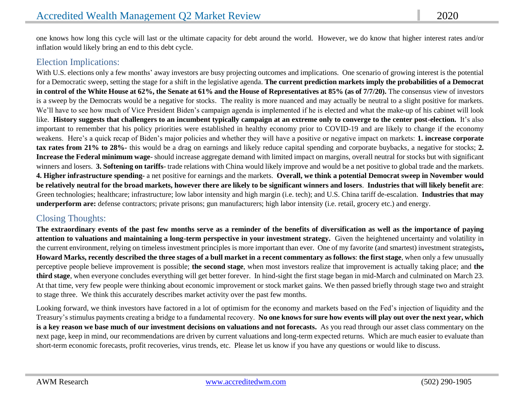one knows how long this cycle will last or the ultimate capacity for debt around the world. However, we do know that higher interest rates and/or inflation would likely bring an end to this debt cycle.

## Election Implications:

With U.S. elections only a few months' away investors are busy projecting outcomes and implications. One scenario of growing interest is the potential for a Democratic sweep, setting the stage for a shift in the legislative agenda. **The current prediction markets imply the probabilities of a Democrat in control of the White House at 62%, the Senate at 61% and the House of Representatives at 85% (as of 7/7/20).** The consensus view of investors is a sweep by the Democrats would be a negative for stocks. The reality is more nuanced and may actually be neutral to a slight positive for markets. We'll have to see how much of Vice President Biden's campaign agenda is implemented if he is elected and what the make-up of his cabinet will look like. **History suggests that challengers to an incumbent typically campaign at an extreme only to converge to the center post-election.** It's also important to remember that his policy priorities were established in healthy economy prior to COVID-19 and are likely to change if the economy weakens. Here's a quick recap of Biden's major policies and whether they will have a positive or negative impact on markets: **1. increase corporate tax rates from 21% to 28%-** this would be a drag on earnings and likely reduce capital spending and corporate buybacks, a negative for stocks; **2. Increase the Federal minimum wage**- should increase aggregate demand with limited impact on margins, overall neutral for stocks but with significant winners and losers. **3. Softening on tariffs**- trade relations with China would likely improve and would be a net positive to global trade and the markets. **4. Higher infrastructure spending-** a net positive for earnings and the markets. **Overall, we think a potential Democrat sweep in November would be relatively neutral for the broad markets, however there are likely to be significant winners and losers**. **Industries that will likely benefit are**: Green technologies; healthcare; infrastructure; low labor intensity and high margin (i.e. tech); and U.S. China tariff de-escalation. **Industries that may underperform are:** defense contractors; private prisons; gun manufacturers; high labor intensity (i.e. retail, grocery etc.) and energy.

## Closing Thoughts:

**The extraordinary events of the past few months serve as a reminder of the benefits of diversification as well as the importance of paying attention to valuations and maintaining a long-term perspective in your investment strategy.** Given the heightened uncertainty and volatility in the current environment, relying on timeless investment principles is more important than ever. One of my favorite (and smartest) investment strategists**, Howard Marks, recently described the three stages of a bull market in a recent commentary as follows**: **the first stage**, when only a few unusually perceptive people believe improvement is possible; **the second stage**, when most investors realize that improvement is actually taking place; and **the third stage**, when everyone concludes everything will get better forever. In hind-sight the first stage began in mid-March and culminated on March 23. At that time, very few people were thinking about economic improvement or stock market gains. We then passed briefly through stage two and straight to stage three. We think this accurately describes market activity over the past few months.

Looking forward, we think investors have factored in a lot of optimism for the economy and markets based on the Fed's injection of liquidity and the Treasury's stimulus payments creating a bridge to a fundamental recovery. **No one knows for sure how events will play out over the next year, which is a key reason we base much of our investment decisions on valuations and not forecasts.** As you read through our asset class commentary on the next page, keep in mind, our recommendations are driven by current valuations and long-term expected returns. Which are much easier to evaluate than short-term economic forecasts, profit recoveries, virus trends, etc. Please let us know if you have any questions or would like to discuss.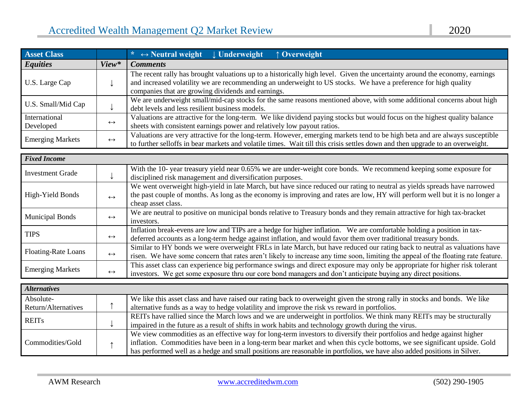| <b>Asset Class</b>      |                   | * $\leftrightarrow$ Neutral weight $\downarrow$ Underweight<br>↑ Overweight                                                   |  |  |  |
|-------------------------|-------------------|-------------------------------------------------------------------------------------------------------------------------------|--|--|--|
| <b>Equities</b>         | View*             | <b>Comments</b>                                                                                                               |  |  |  |
|                         |                   | The recent rally has brought valuations up to a historically high level. Given the uncertainty around the economy, earnings   |  |  |  |
| U.S. Large Cap          |                   | and increased volatility we are recommending an underweight to US stocks. We have a preference for high quality               |  |  |  |
|                         |                   | companies that are growing dividends and earnings.                                                                            |  |  |  |
|                         |                   | We are underweight small/mid-cap stocks for the same reasons mentioned above, with some additional concerns about high        |  |  |  |
| U.S. Small/Mid Cap      |                   | debt levels and less resilient business models.                                                                               |  |  |  |
| International           |                   | Valuations are attractive for the long-term. We like dividend paying stocks but would focus on the highest quality balance    |  |  |  |
| Developed               | $\leftrightarrow$ | sheets with consistent earnings power and relatively low payout ratios.                                                       |  |  |  |
| <b>Emerging Markets</b> | $\leftrightarrow$ | Valuations are very attractive for the long-term. However, emerging markets tend to be high beta and are always susceptible   |  |  |  |
|                         |                   | to further selloffs in bear markets and volatile times. Wait till this crisis settles down and then upgrade to an overweight. |  |  |  |

| <b>Fixed Income</b>        |                   |                                                                                                                                                                                                                                                                                 |
|----------------------------|-------------------|---------------------------------------------------------------------------------------------------------------------------------------------------------------------------------------------------------------------------------------------------------------------------------|
| <b>Investment Grade</b>    |                   | With the 10-year treasury yield near 0.65% we are under-weight core bonds. We recommend keeping some exposure for<br>disciplined risk management and diversification purposes.                                                                                                  |
| High-Yield Bonds           | $\leftrightarrow$ | We went overweight high-yield in late March, but have since reduced our rating to neutral as yields spreads have narrowed<br>the past couple of months. As long as the economy is improving and rates are low, HY will perform well but it is no longer a<br>cheap asset class. |
| <b>Municipal Bonds</b>     | $\leftrightarrow$ | We are neutral to positive on municipal bonds relative to Treasury bonds and they remain attractive for high tax-bracket<br>investors.                                                                                                                                          |
| <b>TIPS</b>                | $\leftrightarrow$ | Inflation break-evens are low and TIPs are a hedge for higher inflation. We are comfortable holding a position in tax-<br>deferred accounts as a long-term hedge against inflation, and would favor them over traditional treasury bonds.                                       |
| <b>Floating-Rate Loans</b> | $\leftrightarrow$ | Similar to HY bonds we were overweight FRLs in late March, but have reduced our rating back to neutral as valuations have<br>risen. We have some concern that rates aren't likely to increase any time soon, limiting the appeal of the floating rate feature.                  |
| <b>Emerging Markets</b>    | $\leftrightarrow$ | This asset class can experience big performance swings and direct exposure may only be appropriate for higher risk tolerant<br>investors. We get some exposure thru our core bond managers and don't anticipate buying any direct positions.                                    |

| <b>Alternatives</b> |  |                                                                                                                            |
|---------------------|--|----------------------------------------------------------------------------------------------------------------------------|
| Absolute-           |  | We like this asset class and have raised our rating back to overweight given the strong rally in stocks and bonds. We like |
| Return/Alternatives |  | alternative funds as a way to hedge volatility and improve the risk vs reward in portfolios.                               |
| <b>REITs</b>        |  | REITs have rallied since the March lows and we are underweight in portfolios. We think many REITs may be structurally      |
|                     |  | impaired in the future as a result of shifts in work habits and technology growth during the virus.                        |
|                     |  | We view commodities as an effective way for long-term investors to diversify their portfolios and hedge against higher     |
| Commodities/Gold    |  | inflation. Commodities have been in a long-term bear market and when this cycle bottoms, we see significant upside. Gold   |
|                     |  | has performed well as a hedge and small positions are reasonable in portfolios, we have also added positions in Silver.    |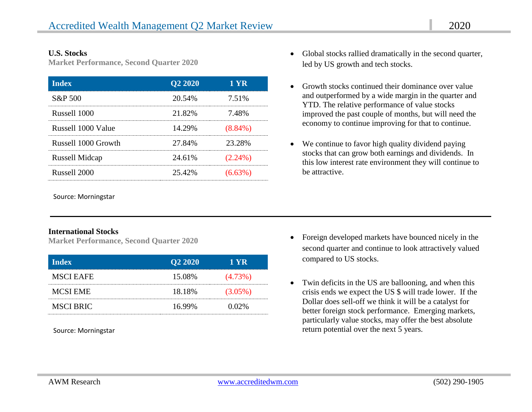#### **U.S. Stocks**

**Market Performance, Second Quarter 2020**

| <b>Index</b>          | Q <sub>2</sub> 20 <sub>20</sub> | 1 YR       |
|-----------------------|---------------------------------|------------|
| S&P 500               | 20.54%                          | 7.51%      |
| Russell 1000          | 21.82%                          | 7.48%      |
| Russell 1000 Value    | 14.29%                          | $(8.84\%)$ |
| Russell 1000 Growth   | 27.84%                          | 23.28%     |
| <b>Russell Midcap</b> | 24.61%                          | $(2.24\%)$ |
| Russell 2000          | 25.42%                          | $(6.63\%)$ |

Source: Morningstar

#### **International Stocks**

**Market Performance, Second Quarter 2020**

| <b>Index</b>     | Q <sub>2</sub> 20 <sub>20</sub> | 1 YR       |
|------------------|---------------------------------|------------|
| <b>MSCI EAFE</b> | 15.08%                          | $(4.73\%)$ |
| <b>MCSI EME</b>  | 18.18%                          | $(3.05\%)$ |
| <b>MSCI BRIC</b> | 16.99%                          | $0.02\%$   |

- Global stocks rallied dramatically in the second quarter, led by US growth and tech stocks.
- Growth stocks continued their dominance over value and outperformed by a wide margin in the quarter and YTD. The relative performance of value stocks improved the past couple of months, but will need the economy to continue improving for that to continue.
- We continue to favor high quality dividend paying stocks that can grow both earnings and dividends. In this low interest rate environment they will continue to be attractive.

- Foreign developed markets have bounced nicely in the second quarter and continue to look attractively valued compared to US stocks.
- Twin deficits in the US are ballooning, and when this crisis ends we expect the US \$ will trade lower. If the Dollar does sell-off we think it will be a catalyst for better foreign stock performance. Emerging markets, particularly value stocks, may offer the best absolute Source: Morningstar **return potential over the next 5 years.** The next 5 years.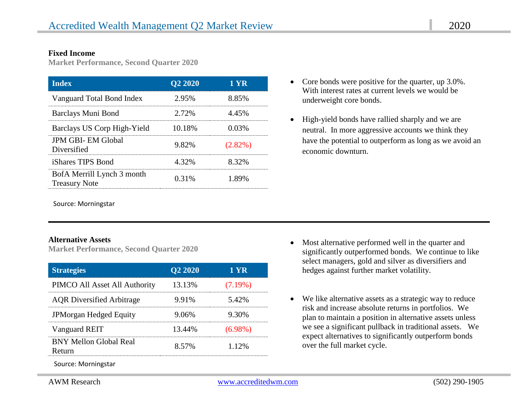#### **Fixed Income**

**Market Performance, Second Quarter 2020**

| <b>Index</b>                                       | <b>Q2 2020</b> | 1 YR       |
|----------------------------------------------------|----------------|------------|
| Vanguard Total Bond Index                          | 2.95%          | 8.85%      |
| Barclays Muni Bond                                 | 2.72%          | 4.45%      |
| Barclays US Corp High-Yield                        | 10.18%         | 0.03%      |
| <b>JPM GBI- EM Global</b><br>Diversified           | 9.82%          | $(2.82\%)$ |
| iShares TIPS Bond                                  | 4.32%          | 8.32%      |
| BofA Merrill Lynch 3 month<br><b>Treasury Note</b> | 0.31%          | 1.89%      |

- Core bonds were positive for the quarter, up 3.0%. With interest rates at current levels we would be underweight core bonds.
- High-yield bonds have rallied sharply and we are neutral. In more aggressive accounts we think they have the potential to outperform as long as we avoid an economic downturn.

Source: Morningstar

#### **Alternative Assets**

**Market Performance, Second Quarter 2020**

| <b>Strategies</b>                      | Q <sub>2</sub> 20 <sub>20</sub> | 1 YR       |
|----------------------------------------|---------------------------------|------------|
| PIMCO All Asset All Authority          | 13.13%                          | $(7.19\%)$ |
| <b>AQR</b> Diversified Arbitrage       | 9.91%                           | 5.42%      |
| <b>JPMorgan Hedged Equity</b>          | 906%                            | $9.30\%$   |
| Vanguard REIT                          | 13.44%                          | $(6.98\%)$ |
| <b>BNY Mellon Global Real</b><br>eturn | 8.57%                           | 1.12%      |

Source: Morningstar

- Most alternative performed well in the quarter and significantly outperformed bonds. We continue to like select managers, gold and silver as diversifiers and hedges against further market volatility.
- We like alternative assets as a strategic way to reduce risk and increase absolute returns in portfolios. We plan to maintain a position in alternative assets unless we see a significant pullback in traditional assets. We expect alternatives to significantly outperform bonds over the full market cycle.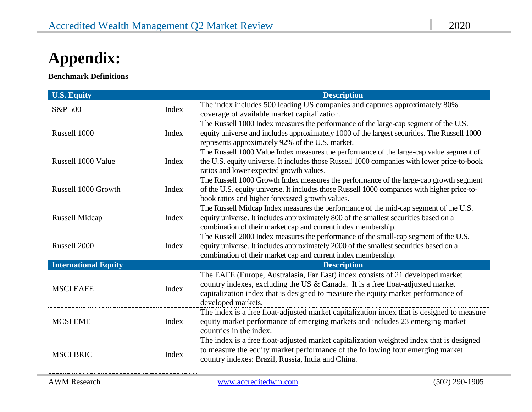# **Appendix:**

**Benchmark Definitions**

 $\ddot{\phantom{0}}$ 

| <b>U.S. Equity</b>          |       | <b>Description</b>                                                                                                                                                                                                                                                          |
|-----------------------------|-------|-----------------------------------------------------------------------------------------------------------------------------------------------------------------------------------------------------------------------------------------------------------------------------|
| S&P 500                     | Index | The index includes 500 leading US companies and captures approximately 80%<br>coverage of available market capitalization.                                                                                                                                                  |
| Russell 1000                | Index | The Russell 1000 Index measures the performance of the large-cap segment of the U.S.<br>equity universe and includes approximately 1000 of the largest securities. The Russell 1000<br>represents approximately 92% of the U.S. market.                                     |
| Russell 1000 Value          | Index | The Russell 1000 Value Index measures the performance of the large-cap value segment of<br>the U.S. equity universe. It includes those Russell 1000 companies with lower price-to-book<br>ratios and lower expected growth values.                                          |
| Russell 1000 Growth         | Index | The Russell 1000 Growth Index measures the performance of the large-cap growth segment<br>of the U.S. equity universe. It includes those Russell 1000 companies with higher price-to-<br>book ratios and higher forecasted growth values.                                   |
| Russell Midcap              | Index | The Russell Midcap Index measures the performance of the mid-cap segment of the U.S.<br>equity universe. It includes approximately 800 of the smallest securities based on a<br>combination of their market cap and current index membership.                               |
| Russell 2000                | Index | The Russell 2000 Index measures the performance of the small-cap segment of the U.S.<br>equity universe. It includes approximately 2000 of the smallest securities based on a<br>combination of their market cap and current index membership.                              |
| <b>International Equity</b> |       | <b>Description</b>                                                                                                                                                                                                                                                          |
| <b>MSCI EAFE</b>            | Index | The EAFE (Europe, Australasia, Far East) index consists of 21 developed market<br>country indexes, excluding the US & Canada. It is a free float-adjusted market<br>capitalization index that is designed to measure the equity market performance of<br>developed markets. |
| <b>MCSI EME</b>             | Index | The index is a free float-adjusted market capitalization index that is designed to measure<br>equity market performance of emerging markets and includes 23 emerging market<br>countries in the index.                                                                      |
| <b>MSCI BRIC</b>            | Index | The index is a free float-adjusted market capitalization weighted index that is designed<br>to measure the equity market performance of the following four emerging market<br>country indexes: Brazil, Russia, India and China.                                             |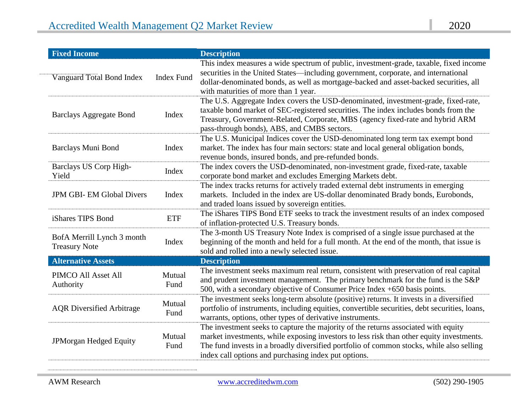| <b>Fixed Income</b>                                |                   | <b>Description</b>                                                                                                                                                                                                                                                                                                                 |
|----------------------------------------------------|-------------------|------------------------------------------------------------------------------------------------------------------------------------------------------------------------------------------------------------------------------------------------------------------------------------------------------------------------------------|
| Vanguard Total Bond Index                          | <b>Index Fund</b> | This index measures a wide spectrum of public, investment-grade, taxable, fixed income<br>securities in the United States-including government, corporate, and international<br>dollar-denominated bonds, as well as mortgage-backed and asset-backed securities, all<br>with maturities of more than 1 year.                      |
| <b>Barclays Aggregate Bond</b>                     | Index             | The U.S. Aggregate Index covers the USD-denominated, investment-grade, fixed-rate,<br>taxable bond market of SEC-registered securities. The index includes bonds from the<br>Treasury, Government-Related, Corporate, MBS (agency fixed-rate and hybrid ARM<br>pass-through bonds), ABS, and CMBS sectors.                         |
| Barclays Muni Bond                                 | Index             | The U.S. Municipal Indices cover the USD-denominated long term tax exempt bond<br>market. The index has four main sectors: state and local general obligation bonds,<br>revenue bonds, insured bonds, and pre-refunded bonds.                                                                                                      |
| Barclays US Corp High-<br>Yield                    | Index             | The index covers the USD-denominated, non-investment grade, fixed-rate, taxable<br>corporate bond market and excludes Emerging Markets debt.                                                                                                                                                                                       |
| <b>JPM GBI- EM Global Divers</b>                   | Index             | The index tracks returns for actively traded external debt instruments in emerging<br>markets. Included in the index are US-dollar denominated Brady bonds, Eurobonds,<br>and traded loans issued by sovereign entities.                                                                                                           |
| iShares TIPS Bond                                  | <b>ETF</b>        | The iShares TIPS Bond ETF seeks to track the investment results of an index composed<br>of inflation-protected U.S. Treasury bonds.                                                                                                                                                                                                |
| BofA Merrill Lynch 3 month<br><b>Treasury Note</b> | Index             | The 3-month US Treasury Note Index is comprised of a single issue purchased at the<br>beginning of the month and held for a full month. At the end of the month, that issue is<br>sold and rolled into a newly selected issue.                                                                                                     |
| <b>Alternative Assets</b>                          |                   | <b>Description</b>                                                                                                                                                                                                                                                                                                                 |
| PIMCO All Asset All<br>Authority                   | Mutual<br>Fund    | The investment seeks maximum real return, consistent with preservation of real capital<br>and prudent investment management. The primary benchmark for the fund is the S&P<br>500, with a secondary objective of Consumer Price Index +650 basis points.                                                                           |
| <b>AQR</b> Diversified Arbitrage                   | Mutual<br>Fund    | The investment seeks long-term absolute (positive) returns. It invests in a diversified<br>portfolio of instruments, including equities, convertible securities, debt securities, loans,<br>warrants, options, other types of derivative instruments.                                                                              |
| JPMorgan Hedged Equity                             | Mutual<br>Fund    | The investment seeks to capture the majority of the returns associated with equity<br>market investments, while exposing investors to less risk than other equity investments.<br>The fund invests in a broadly diversified portfolio of common stocks, while also selling<br>index call options and purchasing index put options. |